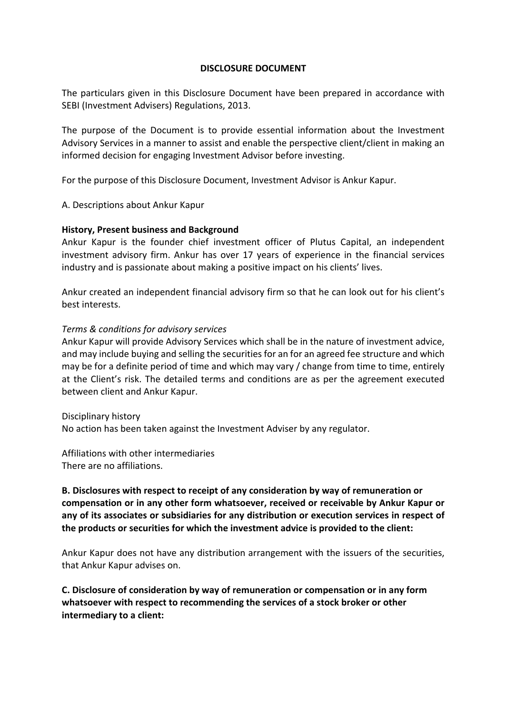#### **DISCLOSURE DOCUMENT**

The particulars given in this Disclosure Document have been prepared in accordance with SEBI (Investment Advisers) Regulations, 2013.

The purpose of the Document is to provide essential information about the Investment Advisory Services in a manner to assist and enable the perspective client/client in making an informed decision for engaging Investment Advisor before investing.

For the purpose of this Disclosure Document, Investment Advisor is Ankur Kapur.

A. Descriptions about Ankur Kapur

#### **History, Present business and Background**

Ankur Kapur is the founder chief investment officer of Plutus Capital, an independent investment advisory firm. Ankur has over 17 years of experience in the financial services industry and is passionate about making a positive impact on his clients' lives.

Ankur created an independent financial advisory firm so that he can look out for his client's best interests.

#### *Terms & conditions for advisory services*

Ankur Kapur will provide Advisory Services which shall be in the nature of investment advice, and may include buying and selling the securities for an for an agreed fee structure and which may be for a definite period of time and which may vary / change from time to time, entirely at the Client's risk. The detailed terms and conditions are as per the agreement executed between client and Ankur Kapur.

#### Disciplinary history

No action has been taken against the Investment Adviser by any regulator.

Affiliations with other intermediaries There are no affiliations.

# **B. Disclosures with respect to receipt of any consideration by way of remuneration or compensation or in any other form whatsoever, received or receivable by Ankur Kapur or any of its associates or subsidiaries for any distribution or execution services in respect of the products or securities for which the investment advice is provided to the client:**

Ankur Kapur does not have any distribution arrangement with the issuers of the securities, that Ankur Kapur advises on.

**C. Disclosure of consideration by way of remuneration or compensation or in any form whatsoever with respect to recommending the services of a stock broker or other intermediary to a client:**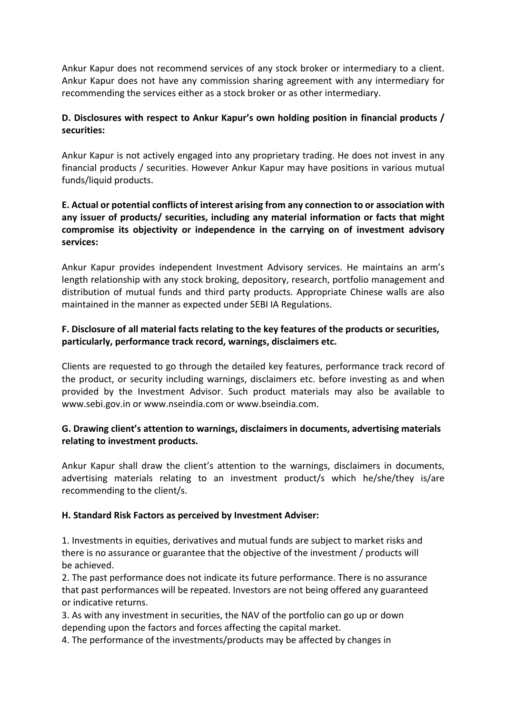Ankur Kapur does not recommend services of any stock broker or intermediary to a client. Ankur Kapur does not have any commission sharing agreement with any intermediary for recommending the services either as a stock broker or as other intermediary.

# **D. Disclosures with respect to Ankur Kapur's own holding position in financial products / securities:**

Ankur Kapur is not actively engaged into any proprietary trading. He does not invest in any financial products / securities. However Ankur Kapur may have positions in various mutual funds/liquid products.

# **E. Actual or potential conflicts of interest arising from any connection to or association with any issuer of products/ securities, including any material information or facts that might compromise its objectivity or independence in the carrying on of investment advisory services:**

Ankur Kapur provides independent Investment Advisory services. He maintains an arm's length relationship with any stock broking, depository, research, portfolio management and distribution of mutual funds and third party products. Appropriate Chinese walls are also maintained in the manner as expected under SEBI IA Regulations.

# **F. Disclosure of all material facts relating to the key features of the products or securities, particularly, performance track record, warnings, disclaimers etc.**

Clients are requested to go through the detailed key features, performance track record of the product, or security including warnings, disclaimers etc. before investing as and when provided by the Investment Advisor. Such product materials may also be available to www.sebi.gov.in or www.nseindia.com or www.bseindia.com.

## **G. Drawing client's attention to warnings, disclaimers in documents, advertising materials relating to investment products.**

Ankur Kapur shall draw the client's attention to the warnings, disclaimers in documents, advertising materials relating to an investment product/s which he/she/they is/are recommending to the client/s.

## **H. Standard Risk Factors as perceived by Investment Adviser:**

1. Investments in equities, derivatives and mutual funds are subject to market risks and there is no assurance or guarantee that the objective of the investment / products will be achieved.

2. The past performance does not indicate its future performance. There is no assurance that past performances will be repeated. Investors are not being offered any guaranteed or indicative returns.

3. As with any investment in securities, the NAV of the portfolio can go up or down depending upon the factors and forces affecting the capital market.

4. The performance of the investments/products may be affected by changes in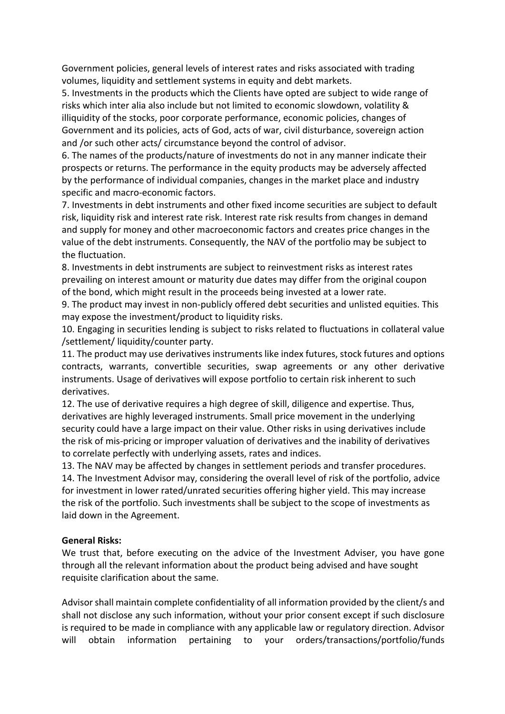Government policies, general levels of interest rates and risks associated with trading volumes, liquidity and settlement systems in equity and debt markets.

5. Investments in the products which the Clients have opted are subject to wide range of risks which inter alia also include but not limited to economic slowdown, volatility & illiquidity of the stocks, poor corporate performance, economic policies, changes of Government and its policies, acts of God, acts of war, civil disturbance, sovereign action and /or such other acts/ circumstance beyond the control of advisor.

6. The names of the products/nature of investments do not in any manner indicate their prospects or returns. The performance in the equity products may be adversely affected by the performance of individual companies, changes in the market place and industry specific and macro-economic factors.

7. Investments in debt instruments and other fixed income securities are subject to default risk, liquidity risk and interest rate risk. Interest rate risk results from changes in demand and supply for money and other macroeconomic factors and creates price changes in the value of the debt instruments. Consequently, the NAV of the portfolio may be subject to the fluctuation.

8. Investments in debt instruments are subject to reinvestment risks as interest rates prevailing on interest amount or maturity due dates may differ from the original coupon of the bond, which might result in the proceeds being invested at a lower rate.

9. The product may invest in non-publicly offered debt securities and unlisted equities. This may expose the investment/product to liquidity risks.

10. Engaging in securities lending is subject to risks related to fluctuations in collateral value /settlement/ liquidity/counter party.

11. The product may use derivatives instruments like index futures, stock futures and options contracts, warrants, convertible securities, swap agreements or any other derivative instruments. Usage of derivatives will expose portfolio to certain risk inherent to such derivatives.

12. The use of derivative requires a high degree of skill, diligence and expertise. Thus, derivatives are highly leveraged instruments. Small price movement in the underlying security could have a large impact on their value. Other risks in using derivatives include the risk of mis-pricing or improper valuation of derivatives and the inability of derivatives to correlate perfectly with underlying assets, rates and indices.

13. The NAV may be affected by changes in settlement periods and transfer procedures. 14. The Investment Advisor may, considering the overall level of risk of the portfolio, advice for investment in lower rated/unrated securities offering higher yield. This may increase the risk of the portfolio. Such investments shall be subject to the scope of investments as laid down in the Agreement.

#### **General Risks:**

We trust that, before executing on the advice of the Investment Adviser, you have gone through all the relevant information about the product being advised and have sought requisite clarification about the same.

Advisor shall maintain complete confidentiality of all information provided by the client/s and shall not disclose any such information, without your prior consent except if such disclosure is required to be made in compliance with any applicable law or regulatory direction. Advisor will obtain information pertaining to your orders/transactions/portfolio/funds